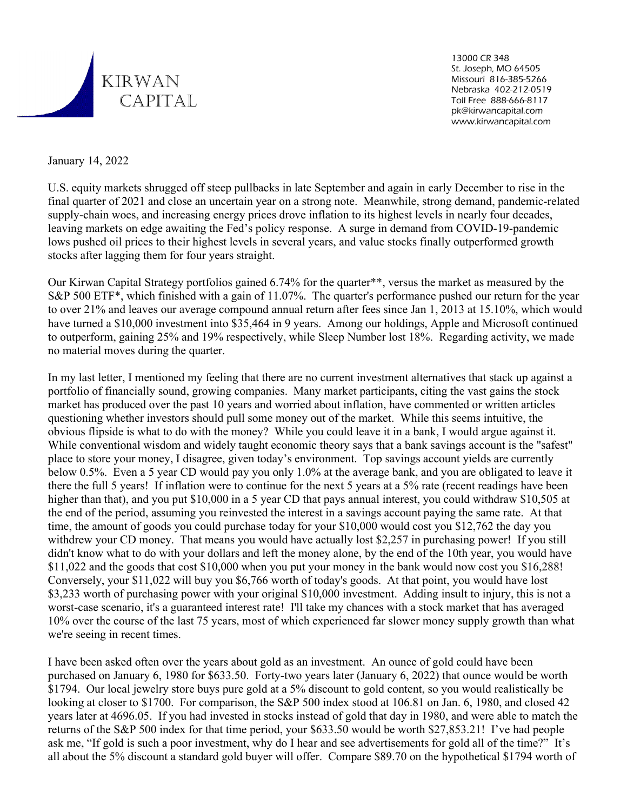

13000 CR 348 St. Joseph, MO 64505 Missouri 816-385-5266 Nebraska 402-212-0519 Toll Free 888-666-8117 pk@kirwancapital.com www.kirwancapital.com

January 14, 2022

U.S. equity markets shrugged off steep pullbacks in late September and again in early December to rise in the final quarter of 2021 and close an uncertain year on a strong note. Meanwhile, strong demand, pandemic-related supply-chain woes, and increasing energy prices drove inflation to its highest levels in nearly four decades, leaving markets on edge awaiting the Fed's policy response. A surge in demand from COVID-19-pandemic lows pushed oil prices to their highest levels in several years, and value stocks finally outperformed growth stocks after lagging them for four years straight.

Our Kirwan Capital Strategy portfolios gained 6.74% for the quarter\*\*, versus the market as measured by the S&P 500 ETF\*, which finished with a gain of 11.07%. The quarter's performance pushed our return for the year to over 21% and leaves our average compound annual return after fees since Jan 1, 2013 at 15.10%, which would have turned a \$10,000 investment into \$35,464 in 9 years. Among our holdings, Apple and Microsoft continued to outperform, gaining 25% and 19% respectively, while Sleep Number lost 18%. Regarding activity, we made no material moves during the quarter.

In my last letter, I mentioned my feeling that there are no current investment alternatives that stack up against a portfolio of financially sound, growing companies. Many market participants, citing the vast gains the stock market has produced over the past 10 years and worried about inflation, have commented or written articles questioning whether investors should pull some money out of the market. While this seems intuitive, the obvious flipside is what to do with the money? While you could leave it in a bank, I would argue against it. While conventional wisdom and widely taught economic theory says that a bank savings account is the "safest" place to store your money, I disagree, given today's environment. Top savings account yields are currently below 0.5%. Even a 5 year CD would pay you only 1.0% at the average bank, and you are obligated to leave it there the full 5 years! If inflation were to continue for the next 5 years at a 5% rate (recent readings have been higher than that), and you put \$10,000 in a 5 year CD that pays annual interest, you could withdraw \$10,505 at the end of the period, assuming you reinvested the interest in a savings account paying the same rate. At that time, the amount of goods you could purchase today for your \$10,000 would cost you \$12,762 the day you withdrew your CD money. That means you would have actually lost \$2,257 in purchasing power! If you still didn't know what to do with your dollars and left the money alone, by the end of the 10th year, you would have \$11,022 and the goods that cost \$10,000 when you put your money in the bank would now cost you \$16,288! Conversely, your \$11,022 will buy you \$6,766 worth of today's goods. At that point, you would have lost \$3,233 worth of purchasing power with your original \$10,000 investment. Adding insult to injury, this is not a worst-case scenario, it's a guaranteed interest rate! I'll take my chances with a stock market that has averaged 10% over the course of the last 75 years, most of which experienced far slower money supply growth than what we're seeing in recent times.

I have been asked often over the years about gold as an investment. An ounce of gold could have been purchased on January 6, 1980 for \$633.50. Forty-two years later (January 6, 2022) that ounce would be worth \$1794. Our local jewelry store buys pure gold at a 5% discount to gold content, so you would realistically be looking at closer to \$1700. For comparison, the S&P 500 index stood at 106.81 on Jan. 6, 1980, and closed 42 years later at 4696.05. If you had invested in stocks instead of gold that day in 1980, and were able to match the returns of the S&P 500 index for that time period, your \$633.50 would be worth \$27,853.21! I've had people ask me, "If gold is such a poor investment, why do I hear and see advertisements for gold all of the time?" It's all about the 5% discount a standard gold buyer will offer. Compare \$89.70 on the hypothetical \$1794 worth of